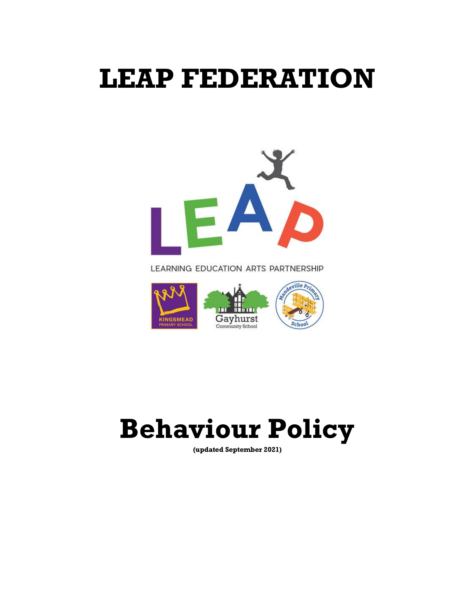# **LEAP FEDERATION**



LEARNING EDUCATION ARTS PARTNERSHIP



# **Behaviour Policy**

**(updated September 2021)**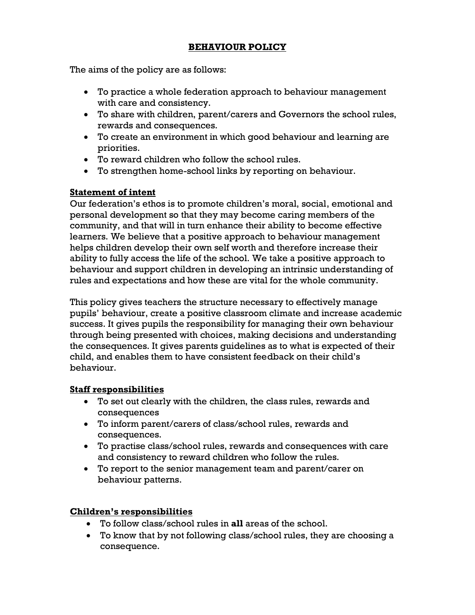# **BEHAVIOUR POLICY**

The aims of the policy are as follows:

- To practice a whole federation approach to behaviour management with care and consistency.
- To share with children, parent/carers and Governors the school rules, rewards and consequences.
- To create an environment in which good behaviour and learning are priorities.
- To reward children who follow the school rules.
- To strengthen home-school links by reporting on behaviour.

# **Statement of intent**

Our federation's ethos is to promote children's moral, social, emotional and personal development so that they may become caring members of the community, and that will in turn enhance their ability to become effective learners. We believe that a positive approach to behaviour management helps children develop their own self worth and therefore increase their ability to fully access the life of the school. We take a positive approach to behaviour and support children in developing an intrinsic understanding of rules and expectations and how these are vital for the whole community.

This policy gives teachers the structure necessary to effectively manage pupils' behaviour, create a positive classroom climate and increase academic success. It gives pupils the responsibility for managing their own behaviour through being presented with choices, making decisions and understanding the consequences. It gives parents guidelines as to what is expected of their child, and enables them to have consistent feedback on their child's behaviour.

# **Staff responsibilities**

- To set out clearly with the children, the class rules, rewards and consequences
- To inform parent/carers of class/school rules, rewards and consequences.
- To practise class/school rules, rewards and consequences with care and consistency to reward children who follow the rules.
- To report to the senior management team and parent/carer on behaviour patterns.

# **Children's responsibilities**

- To follow class/school rules in **all** areas of the school.
- To know that by not following class/school rules, they are choosing a consequence.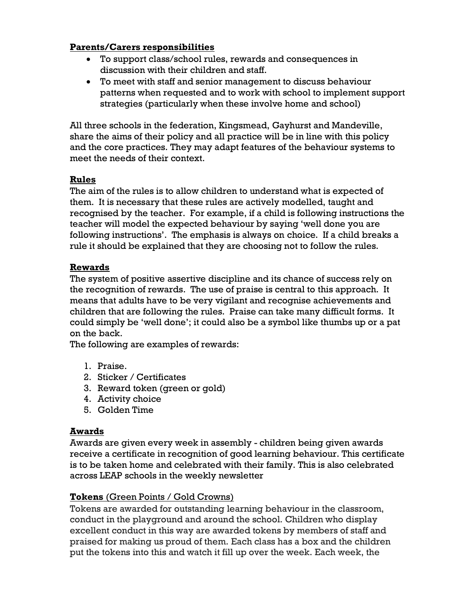# **Parents/Carers responsibilities**

- To support class/school rules, rewards and consequences in discussion with their children and staff.
- To meet with staff and senior management to discuss behaviour patterns when requested and to work with school to implement support strategies (particularly when these involve home and school)

All three schools in the federation, Kingsmead, Gayhurst and Mandeville, share the aims of their policy and all practice will be in line with this policy and the core practices. They may adapt features of the behaviour systems to meet the needs of their context.

# **Rules**

The aim of the rules is to allow children to understand what is expected of them. It is necessary that these rules are actively modelled, taught and recognised by the teacher. For example, if a child is following instructions the teacher will model the expected behaviour by saying 'well done you are following instructions'. The emphasis is always on choice. If a child breaks a rule it should be explained that they are choosing not to follow the rules.

# **Rewards**

The system of positive assertive discipline and its chance of success rely on the recognition of rewards. The use of praise is central to this approach. It means that adults have to be very vigilant and recognise achievements and children that are following the rules. Praise can take many difficult forms. It could simply be 'well done'; it could also be a symbol like thumbs up or a pat on the back.

The following are examples of rewards:

- 1. Praise.
- 2. Sticker / Certificates
- 3. Reward token (green or gold)
- 4. Activity choice
- 5. Golden Time

# **Awards**

Awards are given every week in assembly - children being given awards receive a certificate in recognition of good learning behaviour. This certificate is to be taken home and celebrated with their family. This is also celebrated across LEAP schools in the weekly newsletter

# **Tokens** (Green Points / Gold Crowns)

Tokens are awarded for outstanding learning behaviour in the classroom, conduct in the playground and around the school. Children who display excellent conduct in this way are awarded tokens by members of staff and praised for making us proud of them. Each class has a box and the children put the tokens into this and watch it fill up over the week. Each week, the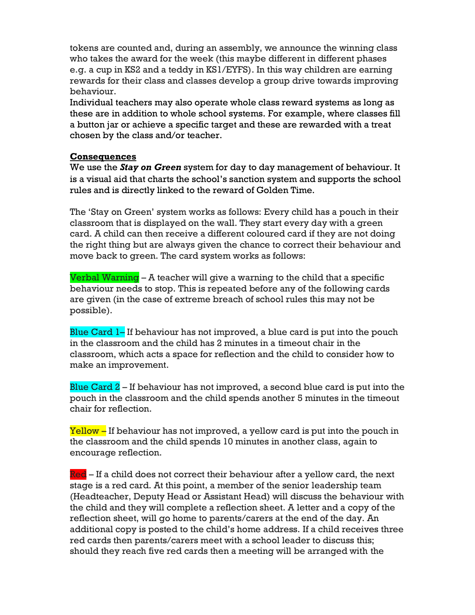tokens are counted and, during an assembly, we announce the winning class who takes the award for the week (this maybe different in different phases e.g. a cup in KS2 and a teddy in KS1/EYFS). In this way children are earning rewards for their class and classes develop a group drive towards improving behaviour.

Individual teachers may also operate whole class reward systems as long as these are in addition to whole school systems. For example, where classes fill a button jar or achieve a specific target and these are rewarded with a treat chosen by the class and/or teacher.

## **Consequences**

We use the *Stay on Green* system for day to day management of behaviour. It is a visual aid that charts the school's sanction system and supports the school rules and is directly linked to the reward of Golden Time.

The 'Stay on Green' system works as follows: Every child has a pouch in their classroom that is displayed on the wall. They start every day with a green card. A child can then receive a different coloured card if they are not doing the right thing but are always given the chance to correct their behaviour and move back to green. The card system works as follows:

Verbal Warning  $-$  A teacher will give a warning to the child that a specific behaviour needs to stop. This is repeated before any of the following cards are given (in the case of extreme breach of school rules this may not be possible).

Blue Card 1– If behaviour has not improved, a blue card is put into the pouch in the classroom and the child has 2 minutes in a timeout chair in the classroom, which acts a space for reflection and the child to consider how to make an improvement.

Blue Card  $2$  – If behaviour has not improved, a second blue card is put into the pouch in the classroom and the child spends another 5 minutes in the timeout chair for reflection.

Yellow – If behaviour has not improved, a yellow card is put into the pouch in the classroom and the child spends 10 minutes in another class, again to encourage reflection.

Red – If a child does not correct their behaviour after a yellow card, the next stage is a red card. At this point, a member of the senior leadership team (Headteacher, Deputy Head or Assistant Head) will discuss the behaviour with the child and they will complete a reflection sheet. A letter and a copy of the reflection sheet, will go home to parents/carers at the end of the day. An additional copy is posted to the child's home address. If a child receives three red cards then parents/carers meet with a school leader to discuss this; should they reach five red cards then a meeting will be arranged with the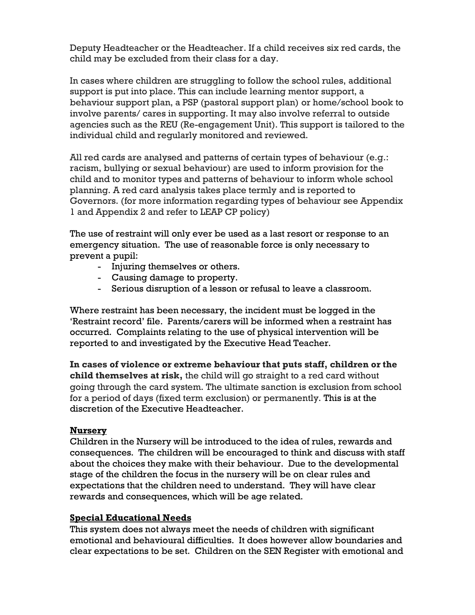Deputy Headteacher or the Headteacher. If a child receives six red cards, the child may be excluded from their class for a day.

In cases where children are struggling to follow the school rules, additional support is put into place. This can include learning mentor support, a behaviour support plan, a PSP (pastoral support plan) or home/school book to involve parents/ cares in supporting. It may also involve referral to outside agencies such as the REU (Re-engagement Unit). This support is tailored to the individual child and regularly monitored and reviewed.

All red cards are analysed and patterns of certain types of behaviour (e.g.: racism, bullying or sexual behaviour) are used to inform provision for the child and to monitor types and patterns of behaviour to inform whole school planning. A red card analysis takes place termly and is reported to Governors. (for more information regarding types of behaviour see Appendix 1 and Appendix 2 and refer to LEAP CP policy)

The use of restraint will only ever be used as a last resort or response to an emergency situation. The use of reasonable force is only necessary to prevent a pupil:

- Injuring themselves or others.
- Causing damage to property.
- Serious disruption of a lesson or refusal to leave a classroom.

Where restraint has been necessary, the incident must be logged in the 'Restraint record' file. Parents/carers will be informed when a restraint has occurred. Complaints relating to the use of physical intervention will be reported to and investigated by the Executive Head Teacher.

**In cases of violence or extreme behaviour that puts staff, children or the child themselves at risk,** the child will go straight to a red card without going through the card system. The ultimate sanction is exclusion from school for a period of days (fixed term exclusion) or permanently. This is at the discretion of the Executive Headteacher.

# **Nursery**

Children in the Nursery will be introduced to the idea of rules, rewards and consequences. The children will be encouraged to think and discuss with staff about the choices they make with their behaviour. Due to the developmental stage of the children the focus in the nursery will be on clear rules and expectations that the children need to understand. They will have clear rewards and consequences, which will be age related.

# **Special Educational Needs**

This system does not always meet the needs of children with significant emotional and behavioural difficulties. It does however allow boundaries and clear expectations to be set. Children on the SEN Register with emotional and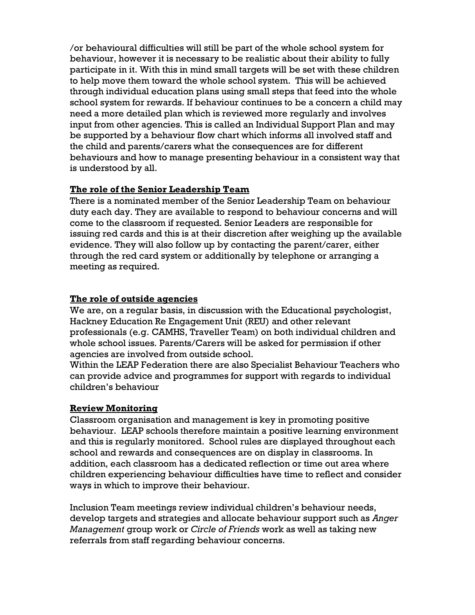/or behavioural difficulties will still be part of the whole school system for behaviour, however it is necessary to be realistic about their ability to fully participate in it. With this in mind small targets will be set with these children to help move them toward the whole school system. This will be achieved through individual education plans using small steps that feed into the whole school system for rewards. If behaviour continues to be a concern a child may need a more detailed plan which is reviewed more regularly and involves input from other agencies. This is called an Individual Support Plan and may be supported by a behaviour flow chart which informs all involved staff and the child and parents/carers what the consequences are for different behaviours and how to manage presenting behaviour in a consistent way that is understood by all.

# **The role of the Senior Leadership Team**

There is a nominated member of the Senior Leadership Team on behaviour duty each day. They are available to respond to behaviour concerns and will come to the classroom if requested. Senior Leaders are responsible for issuing red cards and this is at their discretion after weighing up the available evidence. They will also follow up by contacting the parent/carer, either through the red card system or additionally by telephone or arranging a meeting as required.

## **The role of outside agencies**

We are, on a regular basis, in discussion with the Educational psychologist, Hackney Education Re Engagement Unit (REU) and other relevant professionals (e.g. CAMHS, Traveller Team) on both individual children and whole school issues. Parents/Carers will be asked for permission if other agencies are involved from outside school.

Within the LEAP Federation there are also Specialist Behaviour Teachers who can provide advice and programmes for support with regards to individual children's behaviour

# **Review Monitoring**

Classroom organisation and management is key in promoting positive behaviour. LEAP schools therefore maintain a positive learning environment and this is regularly monitored. School rules are displayed throughout each school and rewards and consequences are on display in classrooms. In addition, each classroom has a dedicated reflection or time out area where children experiencing behaviour difficulties have time to reflect and consider ways in which to improve their behaviour.

Inclusion Team meetings review individual children's behaviour needs, develop targets and strategies and allocate behaviour support such as *Anger Management* group work or *Circle of Friends* work as well as taking new referrals from staff regarding behaviour concerns.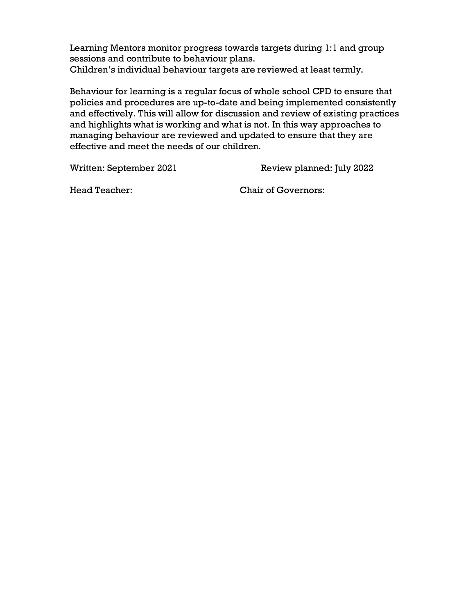Learning Mentors monitor progress towards targets during 1:1 and group sessions and contribute to behaviour plans. Children's individual behaviour targets are reviewed at least termly.

Behaviour for learning is a regular focus of whole school CPD to ensure that policies and procedures are up-to-date and being implemented consistently and effectively. This will allow for discussion and review of existing practices and highlights what is working and what is not. In this way approaches to managing behaviour are reviewed and updated to ensure that they are effective and meet the needs of our children.

Written: September 2021 Review planned: July 2022

Head Teacher: Chair of Governors: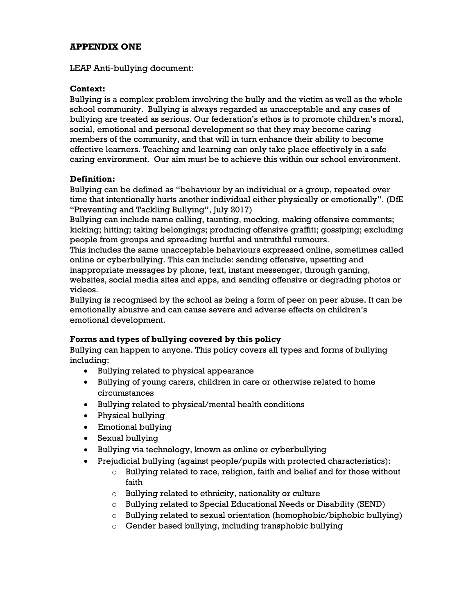## **APPENDIX ONE**

LEAP Anti-bullying document:

#### **Context:**

Bullying is a complex problem involving the bully and the victim as well as the whole school community. Bullying is always regarded as unacceptable and any cases of bullying are treated as serious. Our federation's ethos is to promote children's moral, social, emotional and personal development so that they may become caring members of the community, and that will in turn enhance their ability to become effective learners. Teaching and learning can only take place effectively in a safe caring environment. Our aim must be to achieve this within our school environment.

#### **Definition:**

Bullying can be defined as "behaviour by an individual or a group, repeated over time that intentionally hurts another individual either physically or emotionally". (DfE "Preventing and Tackling Bullying", July 2017)

Bullying can include name calling, taunting, mocking, making offensive comments; kicking; hitting; taking belongings; producing offensive graffiti; gossiping; excluding people from groups and spreading hurtful and untruthful rumours.

This includes the same unacceptable behaviours expressed online, sometimes called online or cyberbullying. This can include: sending offensive, upsetting and inappropriate messages by phone, text, instant messenger, through gaming, websites, social media sites and apps, and sending offensive or degrading photos or videos.

Bullying is recognised by the school as being a form of peer on peer abuse. It can be emotionally abusive and can cause severe and adverse effects on children's emotional development.

## **Forms and types of bullying covered by this policy**

Bullying can happen to anyone. This policy covers all types and forms of bullying including:

- Bullying related to physical appearance
- Bullying of young carers, children in care or otherwise related to home circumstances
- Bullying related to physical/mental health conditions
- Physical bullying
- Emotional bullying
- Sexual bullying
- Bullying via technology, known as online or cyberbullying
- Prejudicial bullying (against people/pupils with protected characteristics):
	- o Bullying related to race, religion, faith and belief and for those without faith
	- $\circ$  Bullying related to ethnicity, nationality or culture
	- o Bullying related to Special Educational Needs or Disability (SEND)
	- $\circ$  Bullying related to sexual orientation (homophobic/biphobic bullying)
	- o Gender based bullying, including transphobic bullying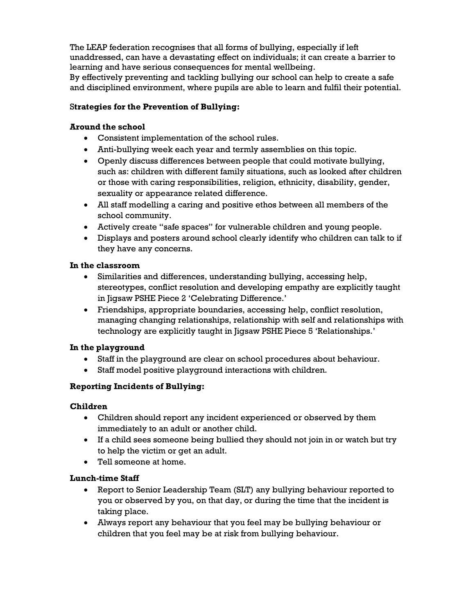The LEAP federation recognises that all forms of bullying, especially if left unaddressed, can have a devastating effect on individuals; it can create a barrier to learning and have serious consequences for mental wellbeing.

By effectively preventing and tackling bullying our school can help to create a safe and disciplined environment, where pupils are able to learn and fulfil their potential.

## S**trategies for the Prevention of Bullying:**

## **Around the school**

- Consistent implementation of the school rules.
- Anti-bullying week each year and termly assemblies on this topic.
- Openly discuss differences between people that could motivate bullying, such as: children with different family situations, such as looked after children or those with caring responsibilities, religion, ethnicity, disability, gender, sexuality or appearance related difference.
- All staff modelling a caring and positive ethos between all members of the school community.
- Actively create "safe spaces" for vulnerable children and young people.
- Displays and posters around school clearly identify who children can talk to if they have any concerns.

## **In the classroom**

- Similarities and differences, understanding bullying, accessing help, stereotypes, conflict resolution and developing empathy are explicitly taught in Jigsaw PSHE Piece 2 'Celebrating Difference.'
- Friendships, appropriate boundaries, accessing help, conflict resolution, managing changing relationships, relationship with self and relationships with technology are explicitly taught in Jigsaw PSHE Piece 5 'Relationships.'

# **In the playground**

- Staff in the playground are clear on school procedures about behaviour.
- Staff model positive playground interactions with children.

# **Reporting Incidents of Bullying:**

## **Children**

- Children should report any incident experienced or observed by them immediately to an adult or another child.
- If a child sees someone being bullied they should not join in or watch but try to help the victim or get an adult.
- Tell someone at home.

# **Lunch-time Staff**

- Report to Senior Leadership Team (SLT) any bullying behaviour reported to you or observed by you, on that day, or during the time that the incident is taking place.
- Always report any behaviour that you feel may be bullying behaviour or children that you feel may be at risk from bullying behaviour.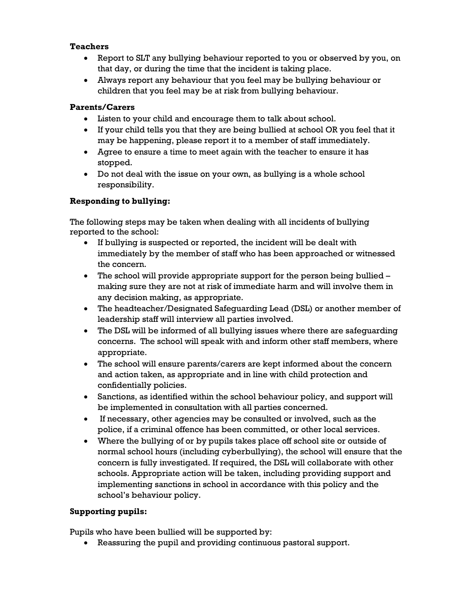## **Teachers**

- Report to SLT any bullying behaviour reported to you or observed by you, on that day, or during the time that the incident is taking place.
- Always report any behaviour that you feel may be bullying behaviour or children that you feel may be at risk from bullying behaviour.

## **Parents/Carers**

- Listen to your child and encourage them to talk about school.
- If your child tells you that they are being bullied at school OR you feel that it may be happening, please report it to a member of staff immediately.
- Agree to ensure a time to meet again with the teacher to ensure it has stopped.
- Do not deal with the issue on your own, as bullying is a whole school responsibility.

## **Responding to bullying:**

The following steps may be taken when dealing with all incidents of bullying reported to the school:

- If bullying is suspected or reported, the incident will be dealt with immediately by the member of staff who has been approached or witnessed the concern.
- $\bullet$  The school will provide appropriate support for the person being bullied  $$ making sure they are not at risk of immediate harm and will involve them in any decision making, as appropriate.
- The headteacher/Designated Safeguarding Lead (DSL) or another member of leadership staff will interview all parties involved.
- The DSL will be informed of all bullying issues where there are safeguarding concerns. The school will speak with and inform other staff members, where appropriate.
- The school will ensure parents/carers are kept informed about the concern and action taken, as appropriate and in line with child protection and confidentially policies.
- Sanctions, as identified within the school behaviour policy, and support will be implemented in consultation with all parties concerned.
- If necessary, other agencies may be consulted or involved, such as the police, if a criminal offence has been committed, or other local services.
- Where the bullying of or by pupils takes place off school site or outside of normal school hours (including cyberbullying), the school will ensure that the concern is fully investigated. If required, the DSL will collaborate with other schools. Appropriate action will be taken, including providing support and implementing sanctions in school in accordance with this policy and the school's behaviour policy.

## **Supporting pupils:**

Pupils who have been bullied will be supported by:

Reassuring the pupil and providing continuous pastoral support.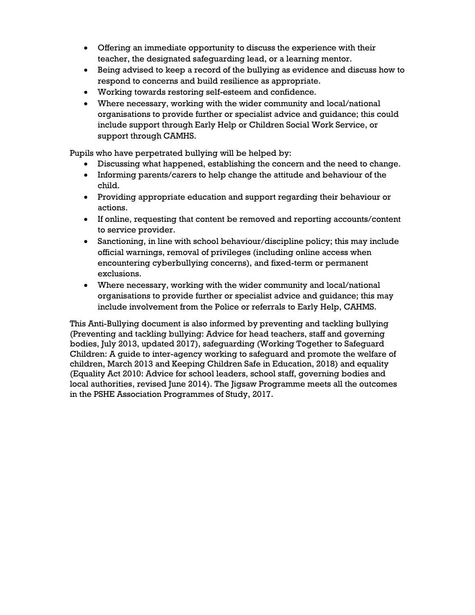- Offering an immediate opportunity to discuss the experience with their teacher, the designated safeguarding lead, or a learning mentor.
- Being advised to keep a record of the bullying as evidence and discuss how to respond to concerns and build resilience as appropriate.
- Working towards restoring self-esteem and confidence.
- Where necessary, working with the wider community and local/national organisations to provide further or specialist advice and guidance; this could include support through Early Help or Children Social Work Service, or support through CAMHS.

Pupils who have perpetrated bullying will be helped by:

- Discussing what happened, establishing the concern and the need to change.
- Informing parents/carers to help change the attitude and behaviour of the child.
- Providing appropriate education and support regarding their behaviour or actions.
- If online, requesting that content be removed and reporting accounts/content to service provider.
- Sanctioning, in line with school behaviour/discipline policy; this may include official warnings, removal of privileges (including online access when encountering cyberbullying concerns), and fixed-term or permanent exclusions.
- Where necessary, working with the wider community and local/national organisations to provide further or specialist advice and guidance; this may include involvement from the Police or referrals to Early Help, CAHMS.

This Anti-Bullying document is also informed by preventing and tackling bullying (Preventing and tackling bullying: Advice for head teachers, staff and governing bodies, July 2013, updated 2017), safeguarding (Working Together to Safeguard Children: A guide to inter-agency working to safeguard and promote the welfare of children, March 2013 and Keeping Children Safe in Education, 2018) and equality (Equality Act 2010: Advice for school leaders, school staff, governing bodies and local authorities, revised June 2014). The Jigsaw Programme meets all the outcomes in the PSHE Association Programmes of Study, 2017.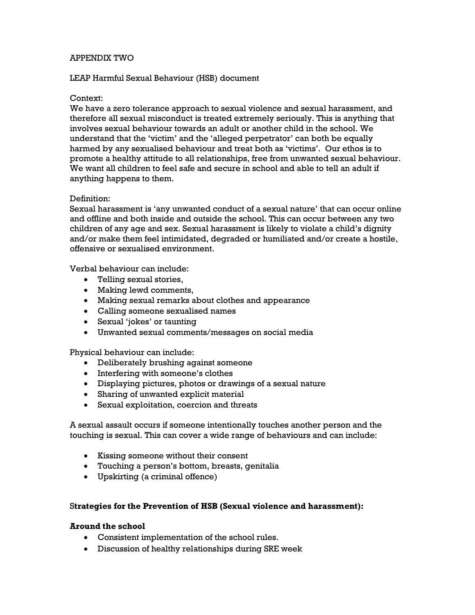#### APPENDIX TWO

#### LEAP Harmful Sexual Behaviour (HSB) document

#### Context:

We have a zero tolerance approach to sexual violence and sexual harassment, and therefore all sexual misconduct is treated extremely seriously. This is anything that involves sexual behaviour towards an adult or another child in the school. We understand that the 'victim' and the 'alleged perpetrator' can both be equally harmed by any sexualised behaviour and treat both as 'victims'. Our ethos is to promote a healthy attitude to all relationships, free from unwanted sexual behaviour. We want all children to feel safe and secure in school and able to tell an adult if anything happens to them.

#### Definition:

Sexual harassment is 'any unwanted conduct of a sexual nature' that can occur online and offline and both inside and outside the school. This can occur between any two children of any age and sex. Sexual harassment is likely to violate a child's dignity and/or make them feel intimidated, degraded or humiliated and/or create a hostile, offensive or sexualised environment.

Verbal behaviour can include:

- Telling sexual stories,
- Making lewd comments,
- Making sexual remarks about clothes and appearance
- Calling someone sexualised names
- Sexual 'jokes' or taunting
- Unwanted sexual comments/messages on social media

Physical behaviour can include:

- Deliberately brushing against someone
- Interfering with someone's clothes
- Displaying pictures, photos or drawings of a sexual nature
- Sharing of unwanted explicit material
- Sexual exploitation, coercion and threats

A sexual assault occurs if someone intentionally touches another person and the touching is sexual. This can cover a wide range of behaviours and can include:

- Kissing someone without their consent
- Touching a person's bottom, breasts, genitalia
- Upskirting (a criminal offence)

#### S**trategies for the Prevention of HSB (Sexual violence and harassment):**

#### **Around the school**

- Consistent implementation of the school rules.
- Discussion of healthy relationships during SRE week